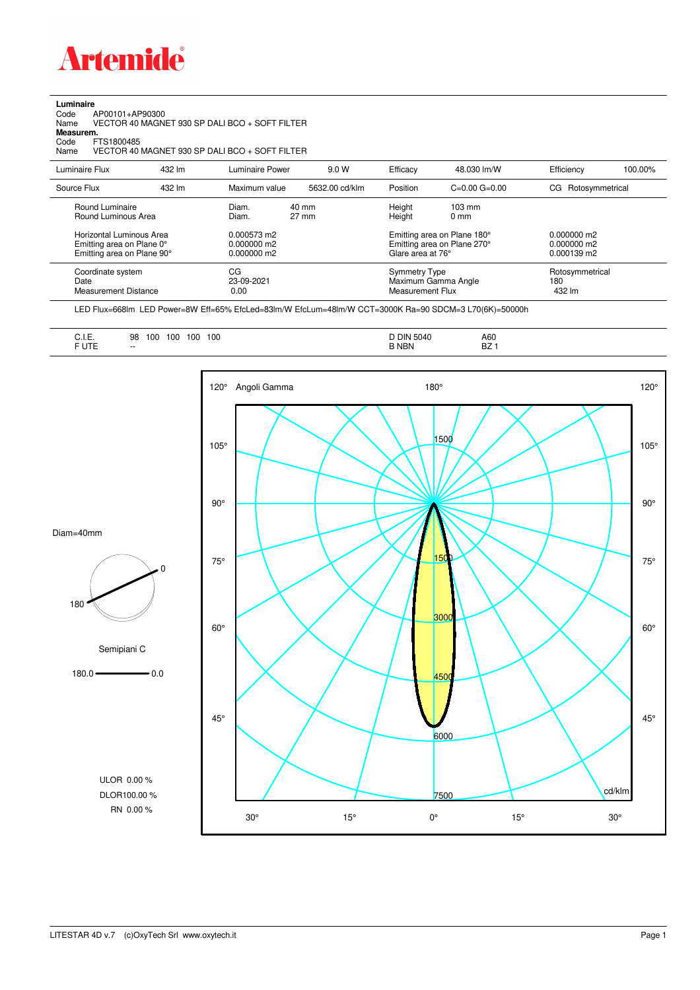

**Luminaire**

## Code AP00101+AP90300 Name VECTOR 40 MAGNET 930 SP DALI BCO + SOFT FILTER Code A<br>Name V<br>**Measurem.** Code FTS1800485<br>Name VECTOR 40 VECTOR 40 MAGNET 930 SP DALI BCO + SOFT FILTER Luminaire Flux 432 lm Luminaire Power 9.0 W Efficacy 48.030 lm/W Efficiency 100.00% Source Flux 432 lm Maximum value 5632.00 cd/klm Position C=0.00 G=0.00 CG Rotosymmetrical Round Luminaire Diam. 40 mm Height 103 mm Round Luminous Area Horizontal Luminous Area 0.000573 m2 Emitting area on Plane 180° 0.000000 m2<br>Emitting area on Plane 0° 0.000000 m2 Emitting area on Plane 270° 0.000000 m2 Emitting area on Plane 90° 0.000000 m2 Glare area at 76° 0.000139 m2 Coordinate system CG CG CG CG Symmetry Type Botosymmetrical<br>
Date 180 Symmetrical Pate 23-09-2021 CG Maximum Gamma Angle 180 180 outies 23-09-2021 Maximum Gamma Angle 180 180<br>180 0.00 Measurement Flux 192 Im Measurement Distance

LED Flux=668lm LED Power=8W Eff=65% EfcLed=83lm/W EfcLum=48lm/W CCT=3000K Ra=90 SDCM=3 L70(6K)=50000h